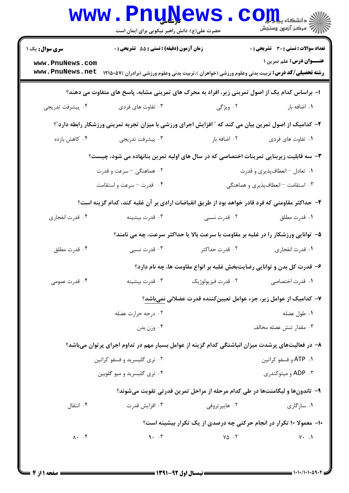|                                    | <b>www.PnuNews</b><br>حضرت علی(ع): دانش راهبر نیکویی برای ایمان است |                                                                                                        | د دانشگاه پ <b>یام برای</b><br>7<br>//-<br>مرکز آزمون وسنجش |
|------------------------------------|---------------------------------------------------------------------|--------------------------------------------------------------------------------------------------------|-------------------------------------------------------------|
| <b>سری سوال :</b> یک ۱             | زمان آزمون (دقیقه) : تستی : 55 آتشریحی : 0                          |                                                                                                        | تعداد سوالات : تستى : 30 قشريحى : 0                         |
| www.PnuNews.com<br>www.PnuNews.net |                                                                     | <b>رشته تحصیلی/کد درس:</b> تربیت بدنی وعلوم ورزشی (خواهران )،تربیت بدنی وعلوم ورزشی (برادران )۵۷-۱۲۱۵  | <b>عنـــوان درس:</b> علم تمرین ۱                            |
|                                    |                                                                     | ۱– براساس کدام یک از اصول تمرینی زیر، افراد به محرک های تمرینی مشابه، پاسخ های متفاوت می دهند؟         |                                                             |
| ۰۴ پیشرفت تدریجی                   | ۰۳ تفاوت های فردی                                                   | ۰۲ ویژگی                                                                                               | ۰۱ اضافه بار                                                |
|                                    |                                                                     | ۲- کدامیک از اصول تمرین بیان می کند که ″ افزایش اجرای ورزشی با میزان تجربه تمرینی ورزشکار رابطه دارد″؟ |                                                             |
| ۰۴ کاهش بازده                      | ۰۳ پیشرفت تدریجی                                                    | ۰۲ اضافه بار                                                                                           | ۰۱ تفاوت های فردی                                           |
|                                    |                                                                     | ۳- سه قابلیت زیربنایی تمرینات اختصاصی که در سال های اولیه تمرین بنانهاده می شود، چیست؟                 |                                                             |
|                                    | ۲. هماهنگی – سرعت و قدرت                                            |                                                                                                        | ۰۱ تعادل – انعطافپذیری و قدرت                               |
|                                    | ۰۴ قدرت – سرعت و استقامت                                            |                                                                                                        | ۰۳ استقامت – انعطافپذیری و هماهنگی                          |
|                                    |                                                                     | ۴– حداکثر مقاومتی که فرد قادر خواهد بود از طریق انقباضات ارادی بر آن غلبه کند، کدام گزینه است؟         |                                                             |
| ۰۴ قدرت انفجاري                    | ۰۳ قدرت بيشينه                                                      | ۰۲ قدرت نسبی                                                                                           | ٠١. قدرت مطلق                                               |
|                                    |                                                                     | ۵- توانایی ورزشکار را در غلبه بر مقاومت با سرعت بالا یا حداکثر سرعت، چه می نامند؟                      |                                                             |
| ۰۴ قدرت مطلق                       | ۰۳ قدرت نسبی                                                        | ۰۲ قدرت حداکثر                                                                                         | ٠١. قدرت انفجاري                                            |
|                                    |                                                                     | ۶- قدرت کل بدن و توانایی رضایتبخش غلبه بر انواع مقاومت ها، چه نام دارد؟                                |                                                             |
| ۰۴ قدرت عمومی                      | ۰۳ قدرت بیشینه                                                      | ۰۲ قدرت فيزيولوژيک                                                                                     | ٠١. قدرت اختصاصي                                            |
|                                    |                                                                     | ۷– کدامیک از عوامل زیر، جزء عوامل تعیین کننده قدرت عضلانی نمیباشد؟                                     |                                                             |
|                                    | ۰۲ درجه حرارت عضله                                                  |                                                                                                        | ۰۱ طول عضله                                                 |
|                                    | وزن بدن $\cdot$ ۴ $\cdot$                                           |                                                                                                        | ۰۳ مقدار تنش عضله مخالف                                     |
|                                    |                                                                     | ۸– در فعالیتهای پرشدت میزان انباشتگی کدام گزینه از عوامل بسیار مهم در تداوم اجرای پرتوان میباشد؟       |                                                             |
|                                    | ۰۲ تری گلیسرید و فسفو کراتین                                        |                                                                                                        | ATP . ۱ و فسفو كراتين                                       |
|                                    | ۰۴ تری گلیسرید و میو گلوبین                                         |                                                                                                        | ADP ۰۳ و میتوکندری                                          |
|                                    |                                                                     | ۹- تاندونها و لیگامنتها در طی کدام مرحله از مراحل تمرین قدرتی تقویت میشوند؟                            |                                                             |
| ۰۴ انتقال                          | ۰۳ افزايش قدرت                                                      | ۰۲ هايپرتروفي                                                                                          | ۰۱ سازگاری                                                  |
|                                    |                                                                     | ۱۰– معمولا ۱۰ تکرار در انجام حرکتی چه درصدی از یک تکرار بیشینه است؟                                    |                                                             |
| $\lambda \cdot \cdot \cdot$ ۴      | 9.7                                                                 | $Y\Delta$ .                                                                                            | $Y \cdot \cdot \cdot$                                       |
|                                    |                                                                     |                                                                                                        |                                                             |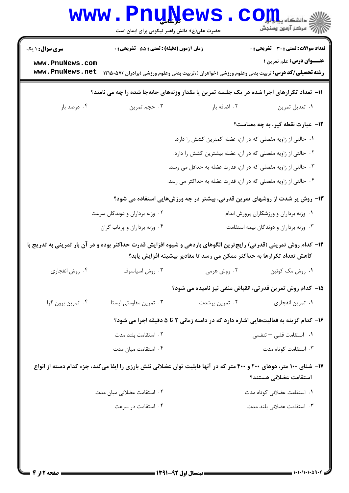|                                                                                          | <b>www.PnuNews</b><br>حضرت علی(ع): دانش راهبر نیکویی برای ایمان است       |                                                                        | الله دانشگاه پياه براي C<br>الله عرضز آزمون وسنجش                                                                                                  |  |  |
|------------------------------------------------------------------------------------------|---------------------------------------------------------------------------|------------------------------------------------------------------------|----------------------------------------------------------------------------------------------------------------------------------------------------|--|--|
| <b>سری سوال : ۱ یک</b>                                                                   | زمان آزمون (دقیقه) : تستی : 55 آتشریحی : 0                                |                                                                        | <b>تعداد سوالات : تستی : 30 ٪ تشریحی : 0</b>                                                                                                       |  |  |
| www.PnuNews.com<br>www.PnuNews.net                                                       |                                                                           |                                                                        | <b>عنـــوان درس:</b> علم تمرین ۱<br><b>رشته تحصیلی/کد درس:</b> تربیت بدنی وعلوم ورزشی (خواهران )،تربیت بدنی وعلوم ورزشی (برادران )۱۲۱۵۰۵۷ <b>(</b> |  |  |
| 11- تعداد تکرارهای اجرا شده در یک جلسه تمرین یا مقدار وزنههای جابهجا شده را چه می نامند؟ |                                                                           |                                                                        |                                                                                                                                                    |  |  |
| ۰۴ درصد بار                                                                              | ۰۳ حجم تمرين                                                              | ٠٢ اضافه بار                                                           | ٠١ تعديل تمرين                                                                                                                                     |  |  |
|                                                                                          |                                                                           |                                                                        | <b>۱۲</b> - عبارت نقطه گیر، به چه معناست؟                                                                                                          |  |  |
|                                                                                          | <mark>۱. حالتی از زاویه مفصلی که در آن، عضله کمترین کشش را دارد.</mark>   |                                                                        |                                                                                                                                                    |  |  |
|                                                                                          |                                                                           | ۰۲ حالتی از زاویه مفصلی که در آن، عضله بیشترین کشش را دارد.            |                                                                                                                                                    |  |  |
|                                                                                          |                                                                           | ۰۳ حالتی از زاویه مفصلی که در آن، قدرت عضله به حداقل می رسد.           |                                                                                                                                                    |  |  |
| ۰۴ حالتی از زاویه مفصلی که در آن، قدرت عضله به حداکثر می رسد.                            |                                                                           |                                                                        |                                                                                                                                                    |  |  |
|                                                                                          |                                                                           |                                                                        | ۱۳- روش پر شدت از روشهای تمرین قدرتی، بیشتر در چه ورزشهایی استفاده می شود؟                                                                         |  |  |
|                                                                                          | ۰۲ وزنه برداران و دوندگان سرعت<br>٠١ وزنه برداران و ورزشكاران پرورش اندام |                                                                        |                                                                                                                                                    |  |  |
|                                                                                          | ۰۴ وزنه برداران و پرتاب گران                                              | ۰۳ وزنه برداران و دوندگان نیمه استقامت                                 |                                                                                                                                                    |  |  |
|                                                                                          |                                                                           | کاهش تعداد تکرارها به حداکثر ممکن می رسد تا مقادیر بیشینه افزایش یابد؟ | ۱۴– کدام روش تمرینی (قدرتی) رایج ترین الگوهای باردهی و شیوه افزایش قدرت حداکثر بوده و در آن بار تمرینی به تدریج با                                 |  |  |
| ۰۴ روش انفجاري                                                                           | ۰۳ روش اسپاسوف                                                            | ۰۲ روش هرمی                                                            | ۰۱ روش مک کوئین                                                                                                                                    |  |  |
|                                                                                          |                                                                           |                                                                        | 1۵– کدام روش تمرین قدرتی، انقباض منفی نیز نامیده می شود؟                                                                                           |  |  |
| ۰۴ تمرین برون گرا                                                                        | ۰۳ تمرین مقاومتی ایستا                                                    | ۰۲ تمرین پرشدت                                                         | ۰۱ تمرين انفجاري                                                                                                                                   |  |  |
|                                                                                          |                                                                           |                                                                        | ۱۶- کدام گزینه به فعالیتهایی اشاره دارد که در دامنه زمانی ۲ تا ۵ دقیقه اجرا می شود؟                                                                |  |  |
|                                                                                          | ۰۲ استقامت بلند مدت                                                       |                                                                        | ۰۱ استقامت قلبی <sup>—</sup> تنفسی                                                                                                                 |  |  |
|                                                                                          | ۰۴ استقامت میان مدت                                                       |                                                                        | ۰۳ استقامت کوتاه مدت                                                                                                                               |  |  |
|                                                                                          |                                                                           |                                                                        | ۱۷– شنای ۱۰۰ متر، دوهای ۲۰۰ و ۴۰۰ متر که در آنها قابلیت توان عضلانی نقش بارزی را ایفا میکند، جزء کدام دسته از انواع<br>استقامت عضلاني هستند؟       |  |  |
|                                                                                          | ۰۲ استقامت عضلانی میان مدت                                                |                                                                        | ۰۱ استقامت عضلانی کوتاه مدت                                                                                                                        |  |  |
|                                                                                          | ۰۴ استقامت در سرعت                                                        |                                                                        | ۰۳ استقامت عضلانی بلند مدت                                                                                                                         |  |  |
|                                                                                          |                                                                           |                                                                        |                                                                                                                                                    |  |  |
|                                                                                          |                                                                           |                                                                        |                                                                                                                                                    |  |  |
|                                                                                          |                                                                           |                                                                        |                                                                                                                                                    |  |  |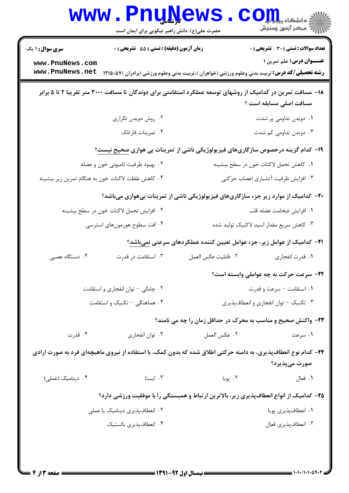|                                                                                                                                         | www.PnuNews.<br>حضرت علی(ع): دانش راهبر نیکویی برای ایمان است |                                                                                                                | الله دانشکاه پیام در استفاده باشد.<br>الله عمر الله تامون وسنجش                  |  |
|-----------------------------------------------------------------------------------------------------------------------------------------|---------------------------------------------------------------|----------------------------------------------------------------------------------------------------------------|----------------------------------------------------------------------------------|--|
| <b>سری سوال : ۱ یک</b><br>www.PnuNews.com<br>www.PnuNews.net                                                                            | زمان آزمون (دقیقه) : تستی : 55 آتشریحی : 0                    | <b>رشته تحصیلی/کد درس:</b> تربیت بدنی وعلوم ورزشی (خواهران )،تربیت بدنی وعلوم ورزشی (برادران )۵۷ <b>۰</b> ۵۷۱  | <b>تعداد سوالات : تستی : 30 ٪ تشریحی : 0</b><br><b>عنـــوان درس:</b> علم تمرین ۱ |  |
| ۱۸– مسافت تمرین در کدامیک از روشهای توسعه عملکرد استقامتی برای دوندگان تا مسافت ۳۰۰۰ متر تقریبا ۲ تا ۵ برابر<br>مسافت اصلی مسابقه است ؟ |                                                               |                                                                                                                |                                                                                  |  |
|                                                                                                                                         | ۰۲ روش دویدن تکراری                                           |                                                                                                                | ۰۱ دویدن تداومی پر شدت                                                           |  |
|                                                                                                                                         | ۰۴ تمرينات فارتلک                                             |                                                                                                                | ۰۳ دویدن تداومی کم شدت                                                           |  |
|                                                                                                                                         |                                                               | ۱۹– کدام گزینه درخصوص سازگاریهای فیزیولوژیکی ناشی از تمرینات بی هوازی صحیح نیست؟                               |                                                                                  |  |
| ۰۲ بهبود ظرفیت تامپونی خون و عضله                                                                                                       |                                                               | ۰۱ كاهش تحمل لاكتات خون در سطح بيشينه                                                                          |                                                                                  |  |
|                                                                                                                                         | ۰۴ کاهش غلظت لاکتات خون به هنگام تمرین زیر بیشینه             |                                                                                                                | ۰۳ افزایش ظرفیت آتشباری اعصاب حرکتی                                              |  |
|                                                                                                                                         |                                                               | +۲- کدامیک از موارد زیر جزء سازگاریهای فیزیولوژیکی ناشی از تمرینات بیهوازی میباشد؟                             |                                                                                  |  |
|                                                                                                                                         | ٢. افزايش تحمل لاكتات خون در سطح بيشينه                       |                                                                                                                | ٠١ افزايش ضخامت عضله قلب                                                         |  |
|                                                                                                                                         | ۰۴ افت سطوح هورمونهای استرسی                                  |                                                                                                                | ۰۳ کاهش سریع مقدار اسید لاکتیک تولید شده                                         |  |
|                                                                                                                                         |                                                               | <b>۲۱</b> – کدامیک از عوامل زیر، جزء عوامل تعیین کننده عملکردهای سرعتی نمیباشد؟                                |                                                                                  |  |
| ۰۴ دستگاه عصبی                                                                                                                          | ۰۳ استقامت در قدرت                                            | ٢. قابليت عكس العمل                                                                                            | ٠١ قدرت انفجاري                                                                  |  |
|                                                                                                                                         |                                                               |                                                                                                                | <b>۲۲</b> - سرعت حرکت به چه عواملی وابسته است؟                                   |  |
|                                                                                                                                         | ۰۲ چابکی - توان انفجاری و استقامت                             |                                                                                                                | ۰۱ استقامت – سرعت و قدرت                                                         |  |
|                                                                                                                                         | ۰۴ هماهنگی – تکنیک و استقامت                                  | ۰۳ تکنیک – توان انفجاری و انعطافپذیری                                                                          |                                                                                  |  |
|                                                                                                                                         |                                                               | ۲۳- واکنش صحیح و مناسب به محرک در حداقل زمان را چه می نامند؟                                                   |                                                                                  |  |
| ۰۴ قدرت                                                                                                                                 | ۰۳ توان انفجاری                                               | ٠٢ عكس العمل                                                                                                   | ۰۱ سرعت                                                                          |  |
|                                                                                                                                         |                                                               | ۲۴– کدام نوع انعطافپذیری، به دامنه حرکتی اطلاق شده که بدون کمک، با استفاده از نیروی ماهیچهای فرد به صورت ارادی |                                                                                  |  |
|                                                                                                                                         |                                                               |                                                                                                                | صورت مي پذيرد؟                                                                   |  |
| ۰۴ دینامیک (عملی)                                                                                                                       | ۰۳ ایستا                                                      | ۰۲ پویا                                                                                                        | ۰۱ فعال                                                                          |  |
|                                                                                                                                         |                                                               | ۲۵– کدامیک از انواع انعطافپذیری زیر، بالاترین ارتباط و همبستگی را با موفقیت ورزشی دارد؟                        |                                                                                  |  |
|                                                                                                                                         | ۰۲ انعطافپذیری دینامیک یا عملی                                |                                                                                                                | ۰۱ انعطافپذیری پویا                                                              |  |
| ۰۴ انعطافپذیری بالستیک                                                                                                                  |                                                               | ۰۳ انعطافپذیری فعال                                                                                            |                                                                                  |  |
|                                                                                                                                         |                                                               |                                                                                                                |                                                                                  |  |
|                                                                                                                                         |                                                               |                                                                                                                |                                                                                  |  |